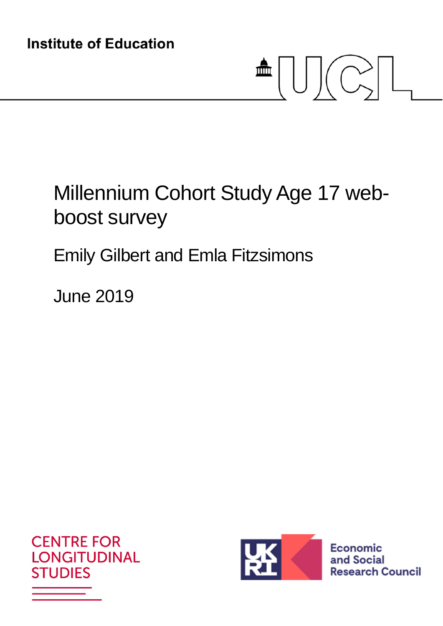# $\triangleq \bigcup \bigcup \biggl( \bigodot \biggr) \bigcup$

# Millennium Cohort Study Age 17 webboost survey

## Emily Gilbert and Emla Fitzsimons

June 2019





**Economic** and Social **Research Council**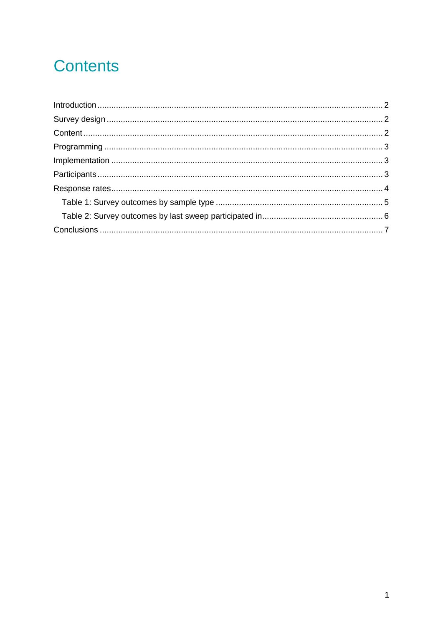## **Contents**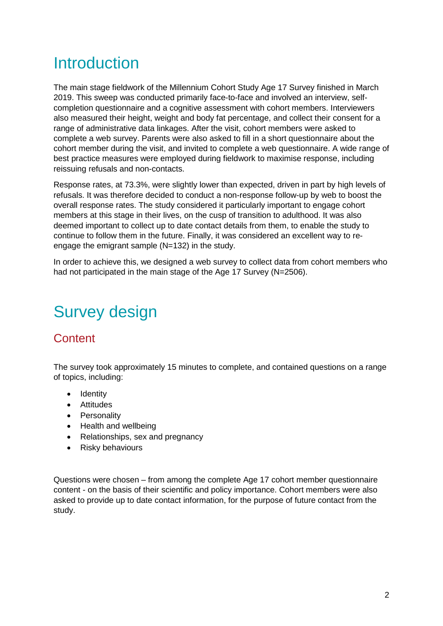## Introduction

The main stage fieldwork of the Millennium Cohort Study Age 17 Survey finished in March 2019. This sweep was conducted primarily face-to-face and involved an interview, selfcompletion questionnaire and a cognitive assessment with cohort members. Interviewers also measured their height, weight and body fat percentage, and collect their consent for a range of administrative data linkages. After the visit, cohort members were asked to complete a web survey. Parents were also asked to fill in a short questionnaire about the cohort member during the visit, and invited to complete a web questionnaire. A wide range of best practice measures were employed during fieldwork to maximise response, including reissuing refusals and non-contacts.

Response rates, at 73.3%, were slightly lower than expected, driven in part by high levels of refusals. It was therefore decided to conduct a non-response follow-up by web to boost the overall response rates. The study considered it particularly important to engage cohort members at this stage in their lives, on the cusp of transition to adulthood. It was also deemed important to collect up to date contact details from them, to enable the study to continue to follow them in the future. Finally, it was considered an excellent way to reengage the emigrant sample (N=132) in the study.

In order to achieve this, we designed a web survey to collect data from cohort members who had not participated in the main stage of the Age 17 Survey (N=2506).

## Survey design

#### **Content**

The survey took approximately 15 minutes to complete, and contained questions on a range of topics, including:

- Identity
- Attitudes
- Personality
- Health and wellbeing
- Relationships, sex and pregnancy
- Risky behaviours

Questions were chosen – from among the complete Age 17 cohort member questionnaire content - on the basis of their scientific and policy importance. Cohort members were also asked to provide up to date contact information, for the purpose of future contact from the study.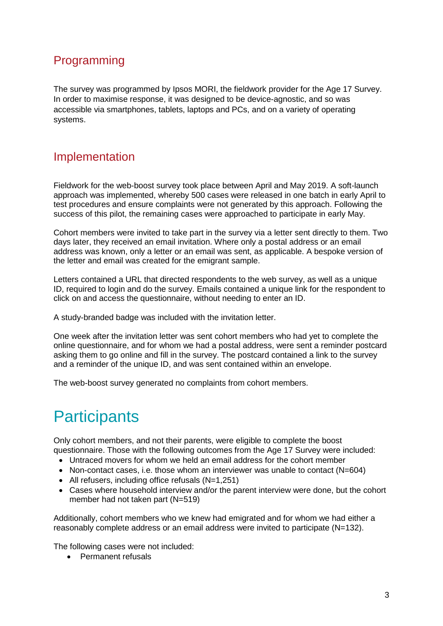#### Programming

The survey was programmed by Ipsos MORI, the fieldwork provider for the Age 17 Survey. In order to maximise response, it was designed to be device-agnostic, and so was accessible via smartphones, tablets, laptops and PCs, and on a variety of operating systems.

#### Implementation

Fieldwork for the web-boost survey took place between April and May 2019. A soft-launch approach was implemented, whereby 500 cases were released in one batch in early April to test procedures and ensure complaints were not generated by this approach. Following the success of this pilot, the remaining cases were approached to participate in early May.

Cohort members were invited to take part in the survey via a letter sent directly to them. Two days later, they received an email invitation. Where only a postal address or an email address was known, only a letter or an email was sent, as applicable. A bespoke version of the letter and email was created for the emigrant sample.

Letters contained a URL that directed respondents to the web survey, as well as a unique ID, required to login and do the survey. Emails contained a unique link for the respondent to click on and access the questionnaire, without needing to enter an ID.

A study-branded badge was included with the invitation letter.

One week after the invitation letter was sent cohort members who had yet to complete the online questionnaire, and for whom we had a postal address, were sent a reminder postcard asking them to go online and fill in the survey. The postcard contained a link to the survey and a reminder of the unique ID, and was sent contained within an envelope.

The web-boost survey generated no complaints from cohort members.

## **Participants**

Only cohort members, and not their parents, were eligible to complete the boost questionnaire. Those with the following outcomes from the Age 17 Survey were included:

- Untraced movers for whom we held an email address for the cohort member
- Non-contact cases, i.e. those whom an interviewer was unable to contact (N=604)
- All refusers, including office refusals (N=1,251)
- Cases where household interview and/or the parent interview were done, but the cohort member had not taken part (N=519)

Additionally, cohort members who we knew had emigrated and for whom we had either a reasonably complete address or an email address were invited to participate (N=132).

The following cases were not included:

**•** Permanent refusals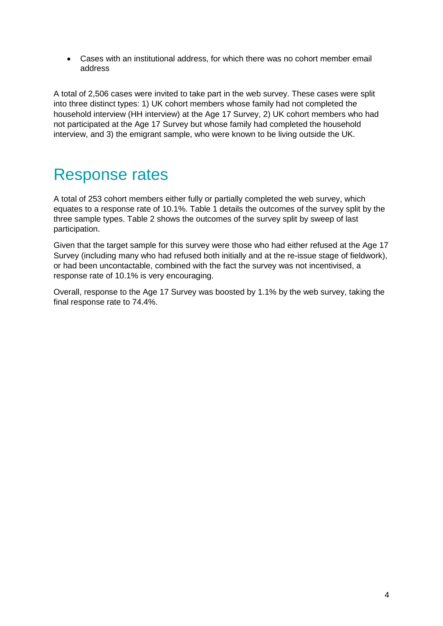Cases with an institutional address, for which there was no cohort member email address

A total of 2,506 cases were invited to take part in the web survey. These cases were split into three distinct types: 1) UK cohort members whose family had not completed the household interview (HH interview) at the Age 17 Survey, 2) UK cohort members who had not participated at the Age 17 Survey but whose family had completed the household interview, and 3) the emigrant sample, who were known to be living outside the UK.

### Response rates

A total of 253 cohort members either fully or partially completed the web survey, which equates to a response rate of 10.1%. Table 1 details the outcomes of the survey split by the three sample types. Table 2 shows the outcomes of the survey split by sweep of last participation.

Given that the target sample for this survey were those who had either refused at the Age 17 Survey (including many who had refused both initially and at the re-issue stage of fieldwork), or had been uncontactable, combined with the fact the survey was not incentivised, a response rate of 10.1% is very encouraging.

Overall, response to the Age 17 Survey was boosted by 1.1% by the web survey, taking the final response rate to 74.4%.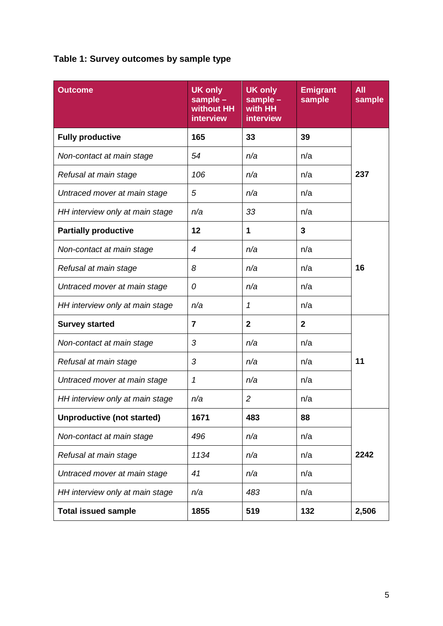#### **Table 1: Survey outcomes by sample type**

| <b>Outcome</b>                    | <b>UK only</b><br>sample -<br>without HH<br><b>interview</b> | <b>UK only</b><br>sample -<br>with HH<br>interview | <b>Emigrant</b><br>sample | <b>All</b><br>sample |  |
|-----------------------------------|--------------------------------------------------------------|----------------------------------------------------|---------------------------|----------------------|--|
| <b>Fully productive</b>           | 165                                                          | 33                                                 | 39                        |                      |  |
| Non-contact at main stage         | 54                                                           | n/a                                                | n/a                       |                      |  |
| Refusal at main stage             | 106                                                          | n/a                                                | n/a                       | 237                  |  |
| Untraced mover at main stage      | 5                                                            | n/a                                                | n/a                       |                      |  |
| HH interview only at main stage   | n/a                                                          | 33                                                 | n/a                       |                      |  |
| <b>Partially productive</b>       | 12                                                           | 1                                                  | 3                         |                      |  |
| Non-contact at main stage         | $\overline{4}$                                               | n/a                                                | n/a                       |                      |  |
| Refusal at main stage             | 8                                                            | n/a                                                | n/a                       | 16                   |  |
| Untraced mover at main stage      | 0                                                            | n/a                                                | n/a                       |                      |  |
| HH interview only at main stage   | n/a                                                          | $\mathcal I$                                       | n/a                       |                      |  |
| <b>Survey started</b>             | 7                                                            | $\overline{2}$                                     | $\overline{2}$            |                      |  |
| Non-contact at main stage         | 3                                                            | n/a                                                | n/a                       | 11                   |  |
| Refusal at main stage             | 3                                                            | n/a                                                | n/a                       |                      |  |
| Untraced mover at main stage      | 1                                                            | n/a                                                | n/a                       |                      |  |
| HH interview only at main stage   | n/a                                                          | $\overline{c}$                                     | n/a                       |                      |  |
| <b>Unproductive (not started)</b> | 1671                                                         | 483                                                | 88                        |                      |  |
| Non-contact at main stage         | 496                                                          | n/a                                                | n/a                       |                      |  |
| Refusal at main stage             | 1134                                                         | n/a                                                | n/a                       | 2242                 |  |
| Untraced mover at main stage      | 41                                                           | n/a                                                | n/a                       |                      |  |
| HH interview only at main stage   | n/a                                                          | 483                                                | n/a                       |                      |  |
| <b>Total issued sample</b>        | 1855                                                         | 519                                                | 132                       | 2,506                |  |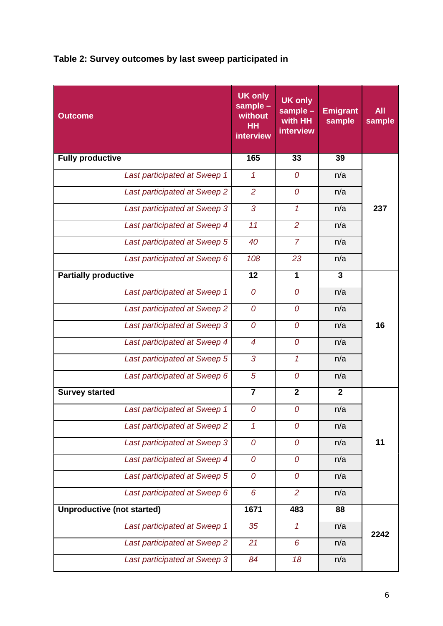#### **Table 2: Survey outcomes by last sweep participated in**

| <b>Outcome</b>                    | <b>UK only</b><br>sample -<br>without<br><b>HH</b><br>interview | <b>UK only</b><br>sample -<br>with HH<br>interview | <b>Emigrant</b><br>sample | <b>All</b><br>sample |
|-----------------------------------|-----------------------------------------------------------------|----------------------------------------------------|---------------------------|----------------------|
| <b>Fully productive</b>           | 165                                                             | 33                                                 | 39                        |                      |
| Last participated at Sweep 1      | 1                                                               | $\boldsymbol{O}$                                   | n/a                       | 237                  |
| Last participated at Sweep 2      | $\overline{2}$                                                  | 0                                                  | n/a                       |                      |
| Last participated at Sweep 3      | 3                                                               | $\mathcal{I}$                                      | n/a                       |                      |
| Last participated at Sweep 4      | 11                                                              | $\overline{2}$                                     | n/a                       |                      |
| Last participated at Sweep 5      | 40                                                              | $\overline{7}$                                     | n/a                       |                      |
| Last participated at Sweep 6      | 108                                                             | 23                                                 | n/a                       |                      |
| <b>Partially productive</b>       | 12                                                              | 1                                                  | 3                         | 16                   |
| Last participated at Sweep 1      | 0                                                               | 0                                                  | n/a                       |                      |
| Last participated at Sweep 2      | 0                                                               | 0                                                  | n/a                       |                      |
| Last participated at Sweep 3      | 0                                                               | 0                                                  | n/a                       |                      |
| Last participated at Sweep 4      | $\overline{4}$                                                  | $\overline{O}$                                     | n/a                       |                      |
| Last participated at Sweep 5      | 3                                                               | $\mathcal{I}$                                      | n/a                       |                      |
| Last participated at Sweep 6      | 5                                                               | 0                                                  | n/a                       |                      |
| <b>Survey started</b>             | $\overline{7}$                                                  | $\mathbf{2}$                                       | $\mathbf{2}$              |                      |
| Last participated at Sweep 1      | 0                                                               | 0                                                  | n/a                       | 11                   |
| Last participated at Sweep 2      | $\overline{1}$                                                  | 0                                                  | n/a                       |                      |
| Last participated at Sweep 3      | 0                                                               | 0                                                  | n/a                       |                      |
| Last participated at Sweep 4      | 0                                                               | 0                                                  | n/a                       |                      |
| Last participated at Sweep 5      | $\mathcal O$                                                    | $\overline{0}$                                     | n/a                       |                      |
| Last participated at Sweep 6      | 6                                                               | $\overline{2}$                                     | n/a                       |                      |
| <b>Unproductive (not started)</b> | 1671                                                            | 483                                                | 88                        |                      |
| Last participated at Sweep 1      | 35                                                              | $\mathcal I$                                       | n/a                       | 2242                 |
| Last participated at Sweep 2      | 21                                                              | 6                                                  | n/a                       |                      |
| Last participated at Sweep 3      | 84                                                              | 18                                                 | n/a                       |                      |